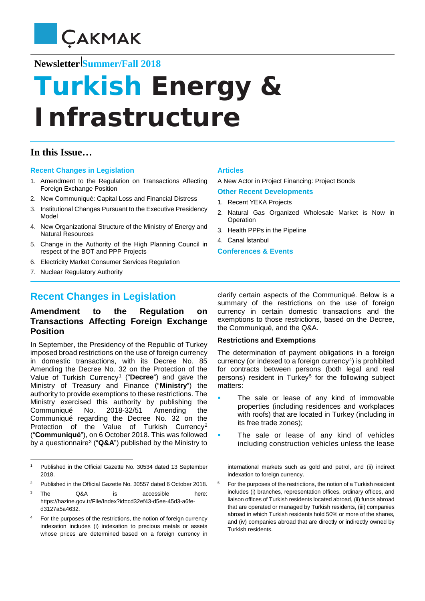

# **Newsletter Summer/Fall 2018**

# **Turkish Energy** *&*  **Infrastructure**

# **In this Issue…**

## **Recent Changes in Legislation**

- 1. Amendment to the Regulation on Transactions Affecting Foreign Exchange Position
- 2. New Communiqué: Capital Loss and Financial Distress
- 3. Institutional Changes Pursuant to the Executive Presidency Model
- 4. New Organizational Structure of the Ministry of Energy and Natural Resources
- 5. Change in the Authority of the High Planning Council in respect of the BOT and PPP Projects
- 6. Electricity Market Consumer Services Regulation
- 7. Nuclear Regulatory Authority

 $\overline{a}$ 

# **Recent Changes in Legislation**

# **Amendment to the Regulation on Transactions Affecting Foreign Exchange Position**

In September, the Presidency of the Republic of Turkey imposed broad restrictions on the use of foreign currency in domestic transactions, with its Decree No. 85 Amending the Decree No. 32 on the Protection of the Value of Turkish Currency[1](#page-0-0) ("**Decree**") and gave the Ministry of Treasury and Finance ("**Ministry**") the authority to provide exemptions to these restrictions. The Ministry exercised this authority by publishing the Communiqué No. 2018-32/51 Amending the Communiqué regarding the Decree No. 32 on the Protection of the Value of Turkish Currency<sup>[2](#page-0-1)</sup> ("**Communiqué**"), on 6 October 2018. This was followed by a questionnaire[3](#page-0-2) ("**Q&A**") published by the Ministry to

<span id="page-0-1"></span><sup>2</sup> Published in the Official Gazette No. 30557 dated 6 October 2018.

## **Articles**

A New Actor in Project Financing: Project Bonds

#### **Other Recent Developments**

- 1. Recent YEKA Projects
- 2. Natural Gas Organized Wholesale Market is Now in **Operation**
- 3. Health PPPs in the Pipeline
- 4. Canal İstanbul

#### **Conferences & Events**

clarify certain aspects of the Communiqué. Below is a summary of the restrictions on the use of foreign currency in certain domestic transactions and the exemptions to those restrictions, based on the Decree, the Communiqué, and the Q&A.

## **Restrictions and Exemptions**

The determination of payment obligations in a foreign currency (or indexed to a foreign currency<sup>4</sup>) is prohibited for contracts between persons (both legal and real persons) resident in Turkey<sup>[5](#page-0-1)</sup> for the following subject matters:

- The sale or lease of any kind of immovable properties (including residences and workplaces with roofs) that are located in Turkey (including in its free trade zones);
- The sale or lease of any kind of vehicles including construction vehicles unless the lease

international markets such as gold and petrol, and (ii) indirect indexation to foreign currency.

<sup>5</sup> For the purposes of the restrictions, the notion of a Turkish resident includes (i) branches, representation offices, ordinary offices, and liaison offices of Turkish residents located abroad, (ii) funds abroad that are operated or managed by Turkish residents, (iii) companies abroad in which Turkish residents hold 50% or more of the shares, and (iv) companies abroad that are directly or indirectly owned by Turkish residents.

<span id="page-0-0"></span><sup>1</sup> Published in the Official Gazette No. 30534 dated 13 September 2018.

<span id="page-0-2"></span>The Q&A is accessible here: https://hazine.gov.tr/File/Index?id=cd32ef43-d5ee-45d3-a6fed3127a5a4632.

<span id="page-0-3"></span>For the purposes of the restrictions, the notion of foreign currency indexation includes (i) indexation to precious metals or assets whose prices are determined based on a foreign currency in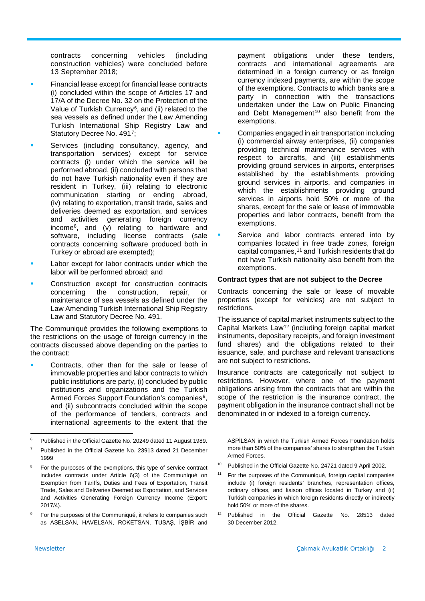contracts concerning vehicles (including construction vehicles) were concluded before 13 September 2018;

- Financial lease except for financial lease contracts (i) concluded within the scope of Articles 17 and 17/A of the Decree No. 32 on the Protection of the Value of Turkish Currency[6,](#page-1-0) and (ii) related to the sea vessels as defined under the Law Amending Turkish International Ship Registry Law and Statutory Decree No. 491[7;](#page-1-1)
- Services (including consultancy, agency, and transportation services) except for service contracts (i) under which the service will be performed abroad, (ii) concluded with persons that do not have Turkish nationality even if they are resident in Turkey, (iii) relating to electronic communication starting or ending abroad, (iv) relating to exportation, transit trade, sales and deliveries deemed as exportation, and services and activities generating foreign currency income[8](#page-1-2), and (v) relating to hardware and software, including license contracts (sale contracts concerning software produced both in Turkey or abroad are exempted);
- Labor except for labor contracts under which the labor will be performed abroad; and
- Construction except for construction contracts concerning the construction, repair, or maintenance of sea vessels as defined under the Law Amending Turkish International Ship Registry Law and Statutory Decree No. 491.

The Communiqué provides the following exemptions to the restrictions on the usage of foreign currency in the contracts discussed above depending on the parties to the contract:

 Contracts, other than for the sale or lease of immovable properties and labor contracts to which public institutions are party, (i) concluded by public institutions and organizations and the Turkish Armed Forces Support Foundation's companies<sup>9</sup>, and (ii) subcontracts concluded within the scope of the performance of tenders, contracts and international agreements to the extent that the

<span id="page-1-3"></span><sup>9</sup> For the purposes of the Communiqué, it refers to companies such as ASELSAN, HAVELSAN, ROKETSAN, TUSAŞ, İŞBİR and payment obligations under these tenders, contracts and international agreements are determined in a foreign currency or as foreign currency indexed payments, are within the scope of the exemptions. Contracts to which banks are a party in connection with the transactions undertaken under the Law on Public Financing and Debt Management<sup>[10](#page-1-4)</sup> also benefit from the exemptions.

- Companies engaged in air transportation including (i) commercial airway enterprises, (ii) companies providing technical maintenance services with respect to aircrafts, and (iii) establishments providing ground services in airports, enterprises established by the establishments providing ground services in airports, and companies in which the establishments providing ground services in airports hold 50% or more of the shares, except for the sale or lease of immovable properties and labor contracts, benefit from the exemptions.
- Service and labor contracts entered into by companies located in free trade zones, foreign capital companies,<sup>[11](#page-1-5)</sup> and Turkish residents that do not have Turkish nationality also benefit from the exemptions.

#### **Contract types that are not subject to the Decree**

Contracts concerning the sale or lease of movable properties (except for vehicles) are not subject to restrictions.

The issuance of capital market instruments subject to the Capital Markets Law[12](#page-1-3) (including foreign capital market instruments, depositary receipts, and foreign investment fund shares) and the obligations related to their issuance, sale, and purchase and relevant transactions are not subject to restrictions.

Insurance contracts are categorically not subject to restrictions. However, where one of the payment obligations arising from the contracts that are within the scope of the restriction is the insurance contract, the payment obligation in the insurance contract shall not be denominated in or indexed to a foreign currency.

ASPİLSAN in which the Turkish Armed Forces Foundation holds more than 50% of the companies' shares to strengthen the Turkish Armed Forces.

- <sup>10</sup> Published in the Official Gazette No. 24721 dated 9 April 2002.
- <sup>11</sup> For the purposes of the Communiqué, foreign capital companies include (i) foreign residents' branches, representation offices, ordinary offices, and liaison offices located in Turkey and (ii) Turkish companies in which foreign residents directly or indirectly hold 50% or more of the shares.
- <sup>12</sup> Published in the Official Gazette No. 28513 dated 30 December 2012.

<span id="page-1-0"></span> $\epsilon$ <sup>6</sup> Published in the Official Gazette No. 20249 dated 11 August 1989.

<span id="page-1-1"></span><sup>7</sup> Published in the Official Gazette No. 23913 dated 21 December 1999

<span id="page-1-5"></span><span id="page-1-4"></span><span id="page-1-2"></span>For the purposes of the exemptions, this type of service contract includes contracts under Article 6(3) of the Communiqué on Exemption from Tariffs, Duties and Fees of Exportation, Transit Trade, Sales and Deliveries Deemed as Exportation, and Services and Activities Generating Foreign Currency Income (Export: 2017/4).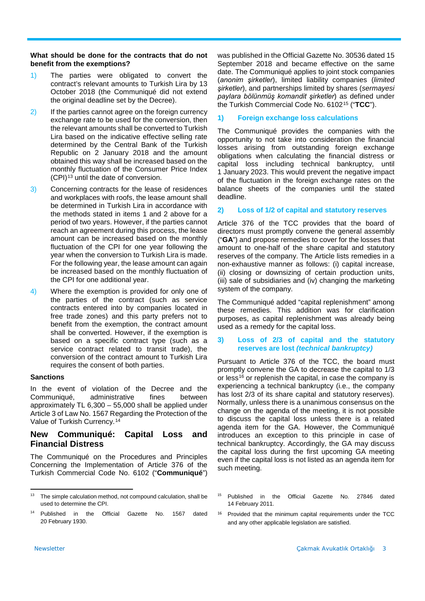## **What should be done for the contracts that do not benefit from the exemptions?**

- 1) The parties were obligated to convert the contract's relevant amounts to Turkish Lira by 13 October 2018 (the Communiqué did not extend the original deadline set by the Decree).
- 2) If the parties cannot agree on the foreign currency exchange rate to be used for the conversion, then the relevant amounts shall be converted to Turkish Lira based on the indicative effective selling rate determined by the Central Bank of the Turkish Republic on 2 January 2018 and the amount obtained this way shall be increased based on the monthly fluctuation of the Consumer Price Index  $(CPI)^{13}$  $(CPI)^{13}$  $(CPI)^{13}$  until the date of conversion.
- 3) Concerning contracts for the lease of residences and workplaces with roofs, the lease amount shall be determined in Turkish Lira in accordance with the methods stated in items 1 and 2 above for a period of two years. However, if the parties cannot reach an agreement during this process, the lease amount can be increased based on the monthly fluctuation of the CPI for one year following the year when the conversion to Turkish Lira is made. For the following year, the lease amount can again be increased based on the monthly fluctuation of the CPI for one additional year.
- 4) Where the exemption is provided for only one of the parties of the contract (such as service contracts entered into by companies located in free trade zones) and this party prefers not to benefit from the exemption, the contract amount shall be converted. However, if the exemption is based on a specific contract type (such as a service contract related to transit trade), the conversion of the contract amount to Turkish Lira requires the consent of both parties.

## **Sanctions**

In the event of violation of the Decree and the Communiqué, administrative fines between approximately TL 6,300 – 55,000 shall be applied under Article 3 of Law No. 1567 Regarding the Protection of the Value of Turkish Currency.[14](#page-2-1)

# **New Communiqué: Capital Loss and Financial Distress**

The Communiqué on the Procedures and Principles Concerning the Implementation of Article 376 of the Turkish Commercial Code No. 6102 ("**Communiqué**")

was published in the Official Gazette No. 30536 dated 15 September 2018 and became effective on the same date. The Communiqué applies to joint stock companies (*anonim şirketler*), limited liability companies (*limited şirketler*), and partnerships limited by shares (*sermayesi paylara bölünmüş komandit şirketler*) as defined under the Turkish Commercial Code No. 6102[15](#page-2-0) ("**TCC**").

## **1) Foreign exchange loss calculations**

The Communiqué provides the companies with the opportunity to not take into consideration the financial losses arising from outstanding foreign exchange obligations when calculating the financial distress or capital loss including technical bankruptcy, until 1 January 2023. This would prevent the negative impact of the fluctuation in the foreign exchange rates on the balance sheets of the companies until the stated deadline.

## **2) Loss of 1/2 of capital and statutory reserves**

Article 376 of the TCC provides that the board of directors must promptly convene the general assembly ("**GA**") and propose remedies to cover for the losses that amount to one-half of the share capital and statutory reserves of the company. The Article lists remedies in a non-exhaustive manner as follows: (i) capital increase, (ii) closing or downsizing of certain production units, (iii) sale of subsidiaries and (iv) changing the marketing system of the company.

The Communiqué added "capital replenishment" among these remedies. This addition was for clarification purposes, as capital replenishment was already being used as a remedy for the capital loss.

## **3) Loss of 2/3 of capital and the statutory reserves are lost** *(technical bankruptcy)*

Pursuant to Article 376 of the TCC, the board must promptly convene the GA to decrease the capital to 1/3 or less<sup>[16](#page-2-1)</sup> or replenish the capital, in case the company is experiencing a technical bankruptcy (i.e., the company has lost 2/3 of its share capital and statutory reserves). Normally, unless there is a unanimous consensus on the change on the agenda of the meeting, it is not possible to discuss the capital loss unless there is a related agenda item for the GA. However, the Communiqué introduces an exception to this principle in case of technical bankruptcy. Accordingly, the GA may discuss the capital loss during the first upcoming GA meeting even if the capital loss is not listed as an agenda item for such meeting.

<span id="page-2-0"></span> $\overline{a}$ The simple calculation method, not compound calculation, shall be used to determine the CPI.

<span id="page-2-1"></span><sup>14</sup> Published in the Official Gazette No. 1567 dated 20 February 1930.

<sup>15</sup> Published in the Official Gazette No. 27846 dated 14 February 2011.

<sup>16</sup> Provided that the minimum capital requirements under the TCC and any other applicable legislation are satisfied.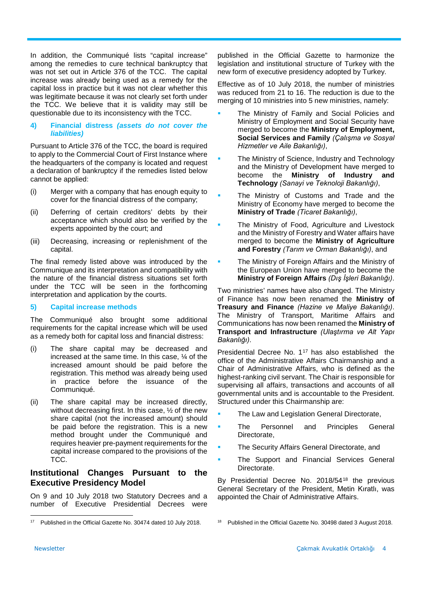In addition, the Communiqué lists "capital increase" among the remedies to cure technical bankruptcy that was not set out in Article 376 of the TCC. The capital increase was already being used as a remedy for the capital loss in practice but it was not clear whether this was legitimate because it was not clearly set forth under the TCC. We believe that it is validity may still be questionable due to its inconsistency with the TCC.

#### **4) Financial distress** *(assets do not cover the liabilities)*

Pursuant to Article 376 of the TCC, the board is required to apply to the Commercial Court of First Instance where the headquarters of the company is located and request a declaration of bankruptcy if the remedies listed below cannot be applied:

- (i) Merger with a company that has enough equity to cover for the financial distress of the company;
- (ii) Deferring of certain creditors' debts by their acceptance which should also be verified by the experts appointed by the court; and
- (iii) Decreasing, increasing or replenishment of the capital.

The final remedy listed above was introduced by the Communique and its interpretation and compatibility with the nature of the financial distress situations set forth under the TCC will be seen in the forthcoming interpretation and application by the courts.

## **5) Capital increase methods**

The Communiqué also brought some additional requirements for the capital increase which will be used as a remedy both for capital loss and financial distress:

- (i) The share capital may be decreased and increased at the same time. In this case, ¼ of the increased amount should be paid before the registration. This method was already being used in practice before the issuance of the Communiqué.
- (ii) The share capital may be increased directly, without decreasing first. In this case, ½ of the new share capital (not the increased amount) should be paid before the registration. This is a new method brought under the Communiqué and requires heavier pre-payment requirements for the capital increase compared to the provisions of the TCC.

# **Institutional Changes Pursuant to the Executive Presidency Model**

On 9 and 10 July 2018 two Statutory Decrees and a number of Executive Presidential Decrees were

published in the Official Gazette to harmonize the legislation and institutional structure of Turkey with the new form of executive presidency adopted by Turkey.

Effective as of 10 July 2018, the number of ministries was reduced from 21 to 16. The reduction is due to the merging of 10 ministries into 5 new ministries, namely:

- The Ministry of Family and Social Policies and Ministry of Employment and Social Security have merged to become the **Ministry of Employment, Social Services and Family** *(Çalışma ve Sosyal Hizmetler ve Aile Bakanlığı)*,
- The Ministry of Science, Industry and Technology and the Ministry of Development have merged to become the **Ministry of Industry and Technology** *(Sanayi ve Teknoloji Bakanlığı)*,
- The Ministry of Customs and Trade and the Ministry of Economy have merged to become the **Ministry of Trade** *(Ticaret Bakanlığı)*,
- The Ministry of Food, Agriculture and Livestock and the Ministry of Forestry and Water affairs have merged to become the **Ministry of Agriculture and Forestry** *(Tarım ve Orman Bakanlığı)*, and
- The Ministry of Foreign Affairs and the Ministry of the European Union have merged to become the **Ministry of Foreign Affairs** *(Dış İşleri Bakanlığı)*.

Two ministries' names have also changed. The Ministry of Finance has now been renamed the **Ministry of Treasury and Finance** *(Hazine ve Maliye Bakanlığı)*. The Ministry of Transport, Maritime Affairs and Communications has now been renamed the **Ministry of Transport and Infrastructure** *(Ulaştırma ve Alt Yapı Bakanlığı)*.

Presidential Decree No. 1<sup>[17](#page-3-0)</sup> has also established the office of the Administrative Affairs Chairmanship and a Chair of Administrative Affairs, who is defined as the highest-ranking civil servant. The Chair is responsible for supervising all affairs, transactions and accounts of all governmental units and is accountable to the President. Structured under this Chairmanship are:

- The Law and Legislation General Directorate,
- The Personnel and Principles General Directorate,
- The Security Affairs General Directorate, and
- The Support and Financial Services General Directorate.

By Presidential Decree No. 2018/54[18](#page-3-0) the previous General Secretary of the President, Metin Kıratlı, was appointed the Chair of Administrative Affairs.

l

<span id="page-3-0"></span><sup>&</sup>lt;sup>17</sup> Published in the Official Gazette No. 30474 dated 10 July 2018.

Published in the Official Gazette No. 30498 dated 3 August 2018.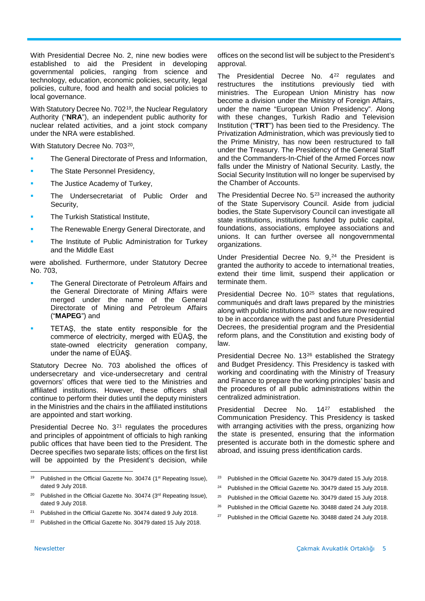With Presidential Decree No. 2, nine new bodies were established to aid the President in developing governmental policies, ranging from science and technology, education, economic policies, security, legal policies, culture, food and health and social policies to local governance.

With Statutory Decree No. 702<sup>[19](#page-4-0)</sup>, the Nuclear Regulatory Authority ("**NRA**"), an independent public authority for nuclear related activities, and a joint stock company under the NRA were established.

With Statutory Decree No. 703<sup>20</sup>,

- The General Directorate of Press and Information,
- The State Personnel Presidency,
- The Justice Academy of Turkey,
- The Undersecretariat of Public Order and Security,
- The Turkish Statistical Institute,
- The Renewable Energy General Directorate, and
- The Institute of Public Administration for Turkey and the Middle East

were abolished. Furthermore, under Statutory Decree No. 703,

- The General Directorate of Petroleum Affairs and the General Directorate of Mining Affairs were merged under the name of the General Directorate of Mining and Petroleum Affairs ("**MAPEG**") and
- TETAŞ, the state entity responsible for the commerce of electricity, merged with EÜAŞ, the state-owned electricity generation company, under the name of EÜAŞ.

Statutory Decree No. 703 abolished the offices of undersecretary and vice-undersecretary and central governors' offices that were tied to the Ministries and affiliated institutions. However, these officers shall continue to perform their duties until the deputy ministers in the Ministries and the chairs in the affiliated institutions are appointed and start working.

Presidential Decree No.  $3<sup>21</sup>$  $3<sup>21</sup>$  $3<sup>21</sup>$  regulates the procedures and principles of appointment of officials to high ranking public offices that have been tied to the President. The Decree specifies two separate lists; offices on the first list will be appointed by the President's decision, while

- <span id="page-4-6"></span><span id="page-4-2"></span><sup>21</sup> Published in the Official Gazette No. 30474 dated 9 July 2018.
- <span id="page-4-7"></span><span id="page-4-3"></span><sup>22</sup> Published in the Official Gazette No. 30479 dated 15 July 2018.

offices on the second list will be subject to the President's approval.

The Presidential Decree No. 4<sup>[22](#page-4-3)</sup> regulates and restructures the institutions previously tied with ministries. The European Union Ministry has now become a division under the Ministry of Foreign Affairs, under the name "European Union Presidency". Along with these changes, Turkish Radio and Television Institution ("**TRT**") has been tied to the Presidency. The Privatization Administration, which was previously tied to the Prime Ministry, has now been restructured to fall under the Treasury. The Presidency of the General Staff and the Commanders-In-Chief of the Armed Forces now falls under the Ministry of National Security. Lastly, the Social Security Institution will no longer be supervised by the Chamber of Accounts.

The Presidential Decree No.  $5^{23}$  $5^{23}$  $5^{23}$  increased the authority of the State Supervisory Council. Aside from judicial bodies, the State Supervisory Council can investigate all state institutions, institutions funded by public capital, foundations, associations, employee associations and unions. It can further oversee all nongovernmental organizations.

Under Presidential Decree No. 9,<sup>[24](#page-4-4)</sup> the President is granted the authority to accede to international treaties, extend their time limit, suspend their application or terminate them.

Presidential Decree No. 10<sup>[25](#page-4-5)</sup> states that regulations, communiqués and draft laws prepared by the ministries along with public institutions and bodies are now required to be in accordance with the past and future Presidential Decrees, the presidential program and the Presidential reform plans, and the Constitution and existing body of law.

Presidential Decree No. 13[26](#page-4-6) established the Strategy and Budget Presidency. This Presidency is tasked with working and coordinating with the Ministry of Treasury and Finance to prepare the working principles' basis and the procedures of all public administrations within the centralized administration.

Presidential Decree No. 14<sup>[27](#page-4-7)</sup> established the Communication Presidency. This Presidency is tasked with arranging activities with the press, organizing how the state is presented, ensuring that the information presented is accurate both in the domestic sphere and abroad, and issuing press identification cards.

- <sup>23</sup> Published in the Official Gazette No. 30479 dated 15 July 2018.
- <sup>24</sup> Published in the Official Gazette No. 30479 dated 15 July 2018.
- <sup>25</sup> Published in the Official Gazette No. 30479 dated 15 July 2018.
- <sup>26</sup> Published in the Official Gazette No. 30488 dated 24 July 2018.
- <sup>27</sup> Published in the Official Gazette No. 30488 dated 24 July 2018.

<span id="page-4-0"></span> $\overline{a}$ <sup>19</sup> Published in the Official Gazette No. 30474 (1<sup>st</sup> Repeating Issue), dated 9 July 2018.

<span id="page-4-5"></span><span id="page-4-4"></span><span id="page-4-1"></span><sup>&</sup>lt;sup>20</sup> Published in the Official Gazette No. 30474 ( $3<sup>rd</sup>$  Repeating Issue), dated 9 July 2018.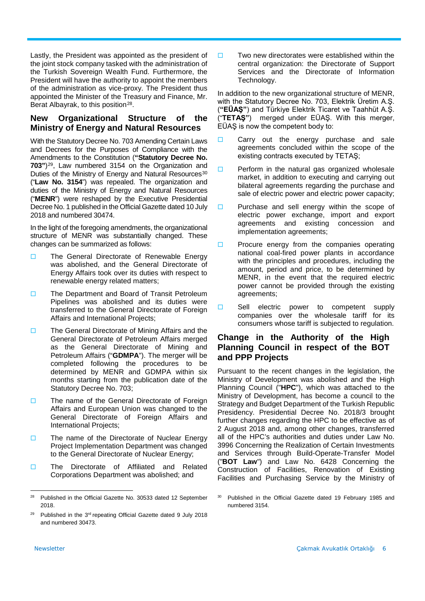Lastly, the President was appointed as the president of the joint stock company tasked with the administration of the Turkish Sovereign Wealth Fund. Furthermore, the President will have the authority to appoint the members of the administration as vice-proxy. The President thus appointed the Minister of the Treasury and Finance, Mr. Berat Albayrak, to this position<sup>[28](#page-5-0)</sup>.

# **New Organizational Structure of the Ministry of Energy and Natural Resources**

With the Statutory Decree No. 703 Amending Certain Laws and Decrees for the Purposes of Compliance with the Amendments to the Constitution (**"Statutory Decree No. 703"**)[29](#page-5-1), Law numbered 3154 on the Organization and Duties of the Ministry of Energy and Natural Resources<sup>[30](#page-5-0)</sup> ("**Law No. 3154**") was repealed. The organization and duties of the Ministry of Energy and Natural Resources ("**MENR**") were reshaped by the Executive Presidential Decree No. 1 published in the Official Gazette dated 10 July 2018 and numbered 30474.

In the light of the foregoing amendments, the organizational structure of MENR was substantially changed. These changes can be summarized as follows:

- □ The General Directorate of Renewable Energy was abolished, and the General Directorate of Energy Affairs took over its duties with respect to renewable energy related matters;
- □ The Department and Board of Transit Petroleum Pipelines was abolished and its duties were transferred to the General Directorate of Foreign Affairs and International Projects;
- $\Box$  The General Directorate of Mining Affairs and the General Directorate of Petroleum Affairs merged as the General Directorate of Mining and Petroleum Affairs ("**GDMPA**"). The merger will be completed following the procedures to be determined by MENR and GDMPA within six months starting from the publication date of the Statutory Decree No. 703;
- $\Box$  The name of the General Directorate of Foreign Affairs and European Union was changed to the General Directorate of Foreign Affairs and International Projects;
- $\Box$  The name of the Directorate of Nuclear Energy Project Implementation Department was changed to the General Directorate of Nuclear Energy;
- □ The Directorate of Affiliated and Related Corporations Department was abolished; and

 $\square$  Two new directorates were established within the central organization: the Directorate of Support Services and the Directorate of Information Technology.

In addition to the new organizational structure of MENR, with the Statutory Decree No. 703, Elektrik Üretim A.Ş. (**"EÜAŞ"**) and Türkiye Elektrik Ticaret ve Taahhüt A.Ş. ("**TETAŞ"**) merged under EÜAŞ. With this merger, EÜAŞ is now the competent body to:

- $\Box$  Carry out the energy purchase and sale agreements concluded within the scope of the existing contracts executed by TETAŞ;
- $\Box$  Perform in the natural gas organized wholesale market, in addition to executing and carrying out bilateral agreements regarding the purchase and sale of electric power and electric power capacity;
- $\Box$  Purchase and sell energy within the scope of electric power exchange, import and export agreements and existing concession and implementation agreements;
- $\Box$  Procure energy from the companies operating national coal-fired power plants in accordance with the principles and procedures, including the amount, period and price, to be determined by MENR, in the event that the required electric power cannot be provided through the existing agreements;
- $\square$  Sell electric power to competent supply companies over the wholesale tariff for its consumers whose tariff is subjected to regulation.

# **Change in the Authority of the High Planning Council in respect of the BOT and PPP Projects**

Pursuant to the recent changes in the legislation, the Ministry of Development was abolished and the High Planning Council ("**HPC**"), which was attached to the Ministry of Development, has become a council to the Strategy and Budget Department of the Turkish Republic Presidency. Presidential Decree No. 2018/3 brought further changes regarding the HPC to be effective as of 2 August 2018 and, among other changes, transferred all of the HPC's authorities and duties under Law No. 3996 Concerning the Realization of Certain Investments and Services through Build-Operate-Transfer Model ("**BOT Law**") and Law No. 6428 Concerning the Construction of Facilities, Renovation of Existing Facilities and Purchasing Service by the Ministry of

<span id="page-5-0"></span><sup>28</sup> Published in the Official Gazette No. 30533 dated 12 September 2018.

<span id="page-5-1"></span><sup>&</sup>lt;sup>29</sup> Published in the  $3<sup>rd</sup>$  repeating Official Gazette dated 9 July 2018 and numbered 30473.

Published in the Official Gazette dated 19 February 1985 and numbered 3154.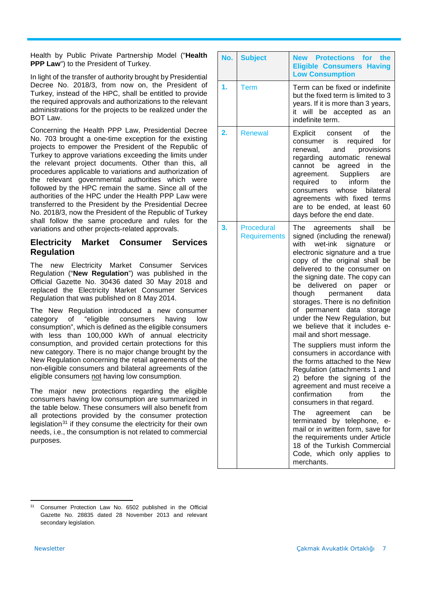Health by Public Private Partnership Model ("**Health PPP Law**") to the President of Turkey.

In light of the transfer of authority brought by Presidential Decree No. 2018/3, from now on, the President of Turkey, instead of the HPC, shall be entitled to provide the required approvals and authorizations to the relevant administrations for the projects to be realized under the BOT Law.

Concerning the Health PPP Law, Presidential Decree No. 703 brought a one-time exception for the existing projects to empower the President of the Republic of Turkey to approve variations exceeding the limits under the relevant project documents. Other than this, all procedures applicable to variations and authorization of the relevant governmental authorities which were followed by the HPC remain the same. Since all of the authorities of the HPC under the Health PPP Law were transferred to the President by the Presidential Decree No. 2018/3, now the President of the Republic of Turkey shall follow the same procedure and rules for the variations and other projects-related approvals.

# **Electricity Market Consumer Services Regulation**

The new Electricity Market Consumer Services Regulation ("**New Regulation**") was published in the Official Gazette No. 30436 dated 30 May 2018 and replaced the Electricity Market Consumer Services Regulation that was published on 8 May 2014.

The New Regulation introduced a new consumer<br>category of "eligible consumers having low category of "eligible consumers having low consumption", which is defined as the eligible consumers with less than 100,000 kWh of annual electricity consumption, and provided certain protections for this new category. There is no major change brought by the New Regulation concerning the retail agreements of the non-eligible consumers and bilateral agreements of the eligible consumers not having low consumption.

The major new protections regarding the eligible consumers having low consumption are summarized in the table below. These consumers will also benefit from all protections provided by the consumer protection legislation<sup>[31](#page-6-0)</sup> if they consume the electricity for their own needs, i.e., the consumption is not related to commercial purposes.

|    | No. Subject                              | New Protections for the<br><b>Eligible Consumers Having</b><br><b>Low Consumption</b>                                                                                                                                                                                                                                                                                                                                                                                                                                                                                                                                                                                                                                                                                                                                                                                                                                                          |
|----|------------------------------------------|------------------------------------------------------------------------------------------------------------------------------------------------------------------------------------------------------------------------------------------------------------------------------------------------------------------------------------------------------------------------------------------------------------------------------------------------------------------------------------------------------------------------------------------------------------------------------------------------------------------------------------------------------------------------------------------------------------------------------------------------------------------------------------------------------------------------------------------------------------------------------------------------------------------------------------------------|
| 1. | Term                                     | Term can be fixed or indefinite<br>but the fixed term is limited to 3<br>years. If it is more than 3 years,<br>will be accepted as<br>it<br>an<br>indefinite term.                                                                                                                                                                                                                                                                                                                                                                                                                                                                                                                                                                                                                                                                                                                                                                             |
| 2. | <b>Renewal</b>                           | Explicit consent of<br>the<br>is required for<br>consumer<br>and provisions<br>renewal,<br>regarding automatic renewal<br>cannot be agreed in<br>the<br>agreement. Suppliers<br>are<br>required to inform<br>the<br>whose bilateral<br>consumers<br>agreements with fixed terms<br>are to be ended, at least 60<br>days before the end date.                                                                                                                                                                                                                                                                                                                                                                                                                                                                                                                                                                                                   |
| 3. | <b>Procedural</b><br><b>Requirements</b> | The agreements shall<br>be<br>signed (including the renewal)<br>with wet-ink signature<br>or<br>electronic signature and a true<br>copy of the original shall be<br>delivered to the consumer on<br>the signing date. The copy can<br>be delivered on paper or<br>though permanent<br>data<br>storages. There is no definition<br>of permanent data storage<br>under the New Regulation, but<br>we believe that it includes e-<br>mail and short message.<br>The suppliers must inform the<br>consumers in accordance with<br>the forms attached to the New<br>Regulation (attachments 1 and<br>2) before the signing of the<br>agreement and must receive a<br>confirmation<br>from<br>the<br>consumers in that regard.<br>The<br>agreement can<br>be<br>terminated by telephone,<br>$e-$<br>mail or in written form, save for<br>the requirements under Article<br>18 of the Turkish Commercial<br>Code, which only applies to<br>merchants. |

<span id="page-6-0"></span> $\overline{a}$ <sup>31</sup> Consumer Protection Law No. 6502 published in the Official Gazette No. 28835 dated 28 November 2013 and relevant secondary legislation.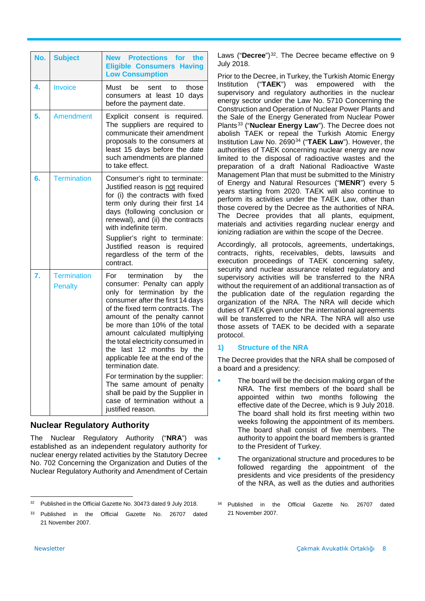|    | No. Subject                          | New Protections for the<br><b>Eligible Consumers Having</b><br><b>Low Consumption</b>                                                                                                                                                                                                                                                                                                                                                                                                                                                                          |
|----|--------------------------------------|----------------------------------------------------------------------------------------------------------------------------------------------------------------------------------------------------------------------------------------------------------------------------------------------------------------------------------------------------------------------------------------------------------------------------------------------------------------------------------------------------------------------------------------------------------------|
| 4. | Invoice                              | Must<br>be<br>sent<br>to<br>those<br>consumers at least 10 days<br>before the payment date.                                                                                                                                                                                                                                                                                                                                                                                                                                                                    |
| 5. | Amendment                            | Explicit consent is required.<br>The suppliers are required to<br>communicate their amendment<br>proposals to the consumers at<br>least 15 days before the date<br>such amendments are planned<br>to take effect.                                                                                                                                                                                                                                                                                                                                              |
| 6. | <b>Termination</b>                   | Consumer's right to terminate:<br>Justified reason is not required<br>for (i) the contracts with fixed<br>term only during their first 14<br>days (following conclusion or<br>renewal), and (ii) the contracts<br>with indefinite term.<br>Supplier's right to terminate:<br>Justified reason is required<br>regardless of the term of the<br>contract.                                                                                                                                                                                                        |
| 7. | <b>Termination</b><br><b>Penalty</b> | termination<br>by<br>For<br>the<br>consumer: Penalty can apply<br>only for termination by the<br>consumer after the first 14 days<br>of the fixed term contracts. The<br>amount of the penalty cannot<br>be more than 10% of the total<br>amount calculated multiplying<br>the total electricity consumed in<br>the last 12 months by the<br>applicable fee at the end of the<br>termination date.<br>For termination by the supplier:<br>The same amount of penalty<br>shall be paid by the Supplier in<br>case of termination without a<br>justified reason. |

# **Nuclear Regulatory Authority**

The Nuclear Regulatory Authority ("**NRA**") was established as an independent regulatory authority for nuclear energy related activities by the Statutory Decree No. 702 Concerning the Organization and Duties of the Nuclear Regulatory Authority and Amendment of Certain Laws ("Decree")<sup>32</sup>. The Decree became effective on 9 July 2018.

Prior to the Decree, in Turkey, the Turkish Atomic Energy Institution ("**TAEK**") was empowered with the supervisory and regulatory authorities in the nuclear energy sector under the Law No. 5710 Concerning the Construction and Operation of Nuclear Power Plants and the Sale of the Energy Generated from Nuclear Power Plants<sup>[33](#page-7-1)</sup> ("Nuclear Energy Law"). The Decree does not abolish TAEK or repeal the Turkish Atomic Energy Institution Law No. 2690[34](#page-7-0) ("**TAEK Law**"). However, the authorities of TAEK concerning nuclear energy are now limited to the disposal of radioactive wastes and the preparation of a draft National Radioactive Waste Management Plan that must be submitted to the Ministry of Energy and Natural Resources ("**MENR**") every 5 years starting from 2020. TAEK will also continue to perform its activities under the TAEK Law, other than those covered by the Decree as the authorities of NRA. The Decree provides that all plants, equipment, materials and activities regarding nuclear energy and ionizing radiation are within the scope of the Decree.

Accordingly, all protocols, agreements, undertakings, contracts, rights, receivables, debts, lawsuits and execution proceedings of TAEK concerning safety, security and nuclear assurance related regulatory and supervisory activities will be transferred to the NRA without the requirement of an additional transaction as of the publication date of the regulation regarding the organization of the NRA. The NRA will decide which duties of TAEK given under the international agreements will be transferred to the NRA. The NRA will also use those assets of TAEK to be decided with a separate protocol.

## **1) Structure of the NRA**

The Decree provides that the NRA shall be composed of a board and a presidency:

- The board will be the decision making organ of the NRA. The first members of the board shall be appointed within two months following the effective date of the Decree, which is 9 July 2018. The board shall hold its first meeting within two weeks following the appointment of its members. The board shall consist of five members. The authority to appoint the board members is granted to the President of Turkey.
- The organizational structure and procedures to be followed regarding the appointment of the presidents and vice presidents of the presidency of the NRA, as well as the duties and authorities
- <sup>34</sup> Published in the Official Gazette No. 26707 dated 21 November 2007.

<span id="page-7-0"></span> $32$ <sup>32</sup> Published in the Official Gazette No. 30473 dated 9 July 2018.

<span id="page-7-1"></span><sup>33</sup> Published in the Official Gazette No. 26707 dated 21 November 2007.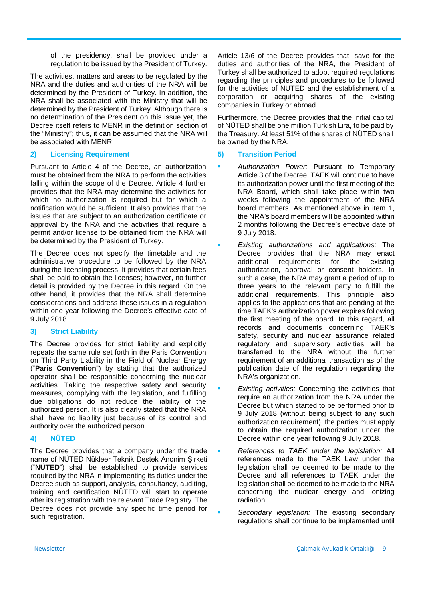of the presidency, shall be provided under a regulation to be issued by the President of Turkey.

The activities, matters and areas to be regulated by the NRA and the duties and authorities of the NRA will be determined by the President of Turkey. In addition, the NRA shall be associated with the Ministry that will be determined by the President of Turkey. Although there is no determination of the President on this issue yet, the Decree itself refers to MENR in the definition section of the "Ministry"; thus, it can be assumed that the NRA will be associated with MENR.

## **2) Licensing Requirement**

Pursuant to Article 4 of the Decree, an authorization must be obtained from the NRA to perform the activities falling within the scope of the Decree. Article 4 further provides that the NRA may determine the activities for which no authorization is required but for which a notification would be sufficient. It also provides that the issues that are subject to an authorization certificate or approval by the NRA and the activities that require a permit and/or license to be obtained from the NRA will be determined by the President of Turkey.

The Decree does not specify the timetable and the administrative procedure to be followed by the NRA during the licensing process. It provides that certain fees shall be paid to obtain the licenses; however, no further detail is provided by the Decree in this regard. On the other hand, it provides that the NRA shall determine considerations and address these issues in a regulation within one year following the Decree's effective date of 9 July 2018.

# **3) Strict Liability**

The Decree provides for strict liability and explicitly repeats the same rule set forth in the Paris Convention on Third Party Liability in the Field of Nuclear Energy ("**Paris Convention**") by stating that the authorized operator shall be responsible concerning the nuclear activities. Taking the respective safety and security measures, complying with the legislation, and fulfilling due obligations do not reduce the liability of the authorized person. It is also clearly stated that the NRA shall have no liability just because of its control and authority over the authorized person.

# **4) NÜTED**

The Decree provides that a company under the trade name of NÜTED Nükleer Teknik Destek Anonim Şirketi ("**NÜTED**") shall be established to provide services required by the NRA in implementing its duties under the Decree such as support, analysis, consultancy, auditing, training and certification. NÜTED will start to operate after its registration with the relevant Trade Registry. The Decree does not provide any specific time period for such registration.

Article 13/6 of the Decree provides that, save for the duties and authorities of the NRA, the President of Turkey shall be authorized to adopt required regulations regarding the principles and procedures to be followed for the activities of NÜTED and the establishment of a corporation or acquiring shares of the existing companies in Turkey or abroad.

Furthermore, the Decree provides that the initial capital of NÜTED shall be one million Turkish Lira, to be paid by the Treasury. At least 51% of the shares of NÜTED shall be owned by the NRA.

## **5) Transition Period**

- *Authorization Power:* Pursuant to Temporary Article 3 of the Decree, TAEK will continue to have its authorization power until the first meeting of the NRA Board, which shall take place within two weeks following the appointment of the NRA board members. As mentioned above in item 1, the NRA's board members will be appointed within 2 months following the Decree's effective date of 9 July 2018.
- *Existing authorizations and applications:* The Decree provides that the NRA may enact<br>additional requirements for the existing requirements for the existing authorization, approval or consent holders. In such a case, the NRA may grant a period of up to three years to the relevant party to fulfill the additional requirements. This principle also applies to the applications that are pending at the time TAEK's authorization power expires following the first meeting of the board. In this regard, all records and documents concerning TAEK's safety, security and nuclear assurance related regulatory and supervisory activities will be transferred to the NRA without the further requirement of an additional transaction as of the publication date of the regulation regarding the NRA's organization.
- *Existing activities:* Concerning the activities that require an authorization from the NRA under the Decree but which started to be performed prior to 9 July 2018 (without being subject to any such authorization requirement), the parties must apply to obtain the required authorization under the Decree within one year following 9 July 2018.
- *References to TAEK under the legislation:* All references made to the TAEK Law under the legislation shall be deemed to be made to the Decree and all references to TAEK under the legislation shall be deemed to be made to the NRA concerning the nuclear energy and ionizing radiation.
- *Secondary legislation:* The existing secondary regulations shall continue to be implemented until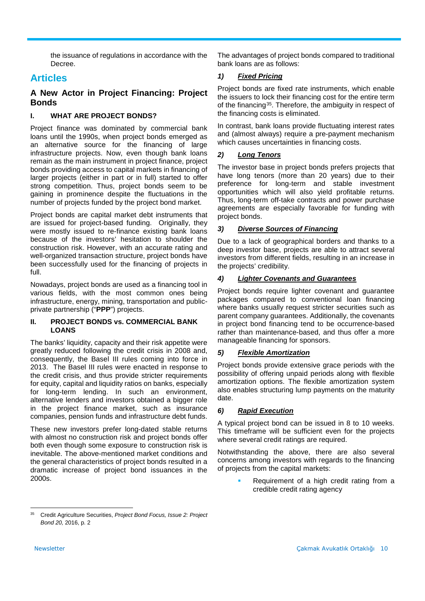the issuance of regulations in accordance with the Decree.

# **Articles**

# **A New Actor in Project Financing: Project Bonds**

# **I. WHAT ARE PROJECT BONDS?**

Project finance was dominated by commercial bank loans until the 1990s, when project bonds emerged as an alternative source for the financing of large infrastructure projects. Now, even though bank loans remain as the main instrument in project finance, project bonds providing access to capital markets in financing of larger projects (either in part or in full) started to offer strong competition. Thus, project bonds seem to be gaining in prominence despite the fluctuations in the number of projects funded by the project bond market.

Project bonds are capital market debt instruments that are issued for project-based funding. Originally, they were mostly issued to re-finance existing bank loans because of the investors' hesitation to shoulder the construction risk. However, with an accurate rating and well-organized transaction structure, project bonds have been successfully used for the financing of projects in full.

Nowadays, project bonds are used as a financing tool in various fields, with the most common ones being infrastructure, energy, mining, transportation and publicprivate partnership ("**PPP**") projects.

## **II. PROJECT BONDS vs. COMMERCIAL BANK LOANS**

The banks' liquidity, capacity and their risk appetite were greatly reduced following the credit crisis in 2008 and, consequently, the Basel III rules coming into force in 2013. The Basel III rules were enacted in response to the credit crisis, and thus provide stricter requirements for equity, capital and liquidity ratios on banks, especially for long-term lending. In such an environment, alternative lenders and investors obtained a bigger role in the project finance market, such as insurance companies, pension funds and infrastructure debt funds.

These new investors prefer long-dated stable returns with almost no construction risk and project bonds offer both even though some exposure to construction risk is inevitable. The above-mentioned market conditions and the general characteristics of project bonds resulted in a dramatic increase of project bond issuances in the 2000s.

The advantages of project bonds compared to traditional bank loans are as follows:

# *1) Fixed Pricing*

Project bonds are fixed rate instruments, which enable the issuers to lock their financing cost for the entire term of the financing[35.](#page-9-0) Therefore, the ambiguity in respect of the financing costs is eliminated.

In contrast, bank loans provide fluctuating interest rates and (almost always) require a pre-payment mechanism which causes uncertainties in financing costs.

# *2) Long Tenors*

The investor base in project bonds prefers projects that have long tenors (more than 20 years) due to their preference for long-term and stable investment opportunities which will also yield profitable returns. Thus, long-term off-take contracts and power purchase agreements are especially favorable for funding with project bonds.

# *3) Diverse Sources of Financing*

Due to a lack of geographical borders and thanks to a deep investor base, projects are able to attract several investors from different fields, resulting in an increase in the projects' credibility.

## *4) Lighter Covenants and Guarantees*

Project bonds require lighter covenant and guarantee packages compared to conventional loan financing where banks usually request stricter securities such as parent company guarantees. Additionally, the covenants in project bond financing tend to be occurrence-based rather than maintenance-based, and thus offer a more manageable financing for sponsors.

# *5) Flexible Amortization*

Project bonds provide extensive grace periods with the possibility of offering unpaid periods along with flexible amortization options. The flexible amortization system also enables structuring lump payments on the maturity date.

## *6) Rapid Execution*

A typical project bond can be issued in 8 to 10 weeks. This timeframe will be sufficient even for the projects where several credit ratings are required.

Notwithstanding the above, there are also several concerns among investors with regards to the financing of projects from the capital markets:

> Requirement of a high credit rating from a credible credit rating agency

<span id="page-9-0"></span><sup>35</sup> <sup>35</sup> Credit Agriculture Securities, *Project Bond Focus, Issue 2: Project Bond 20,* 2016, p. 2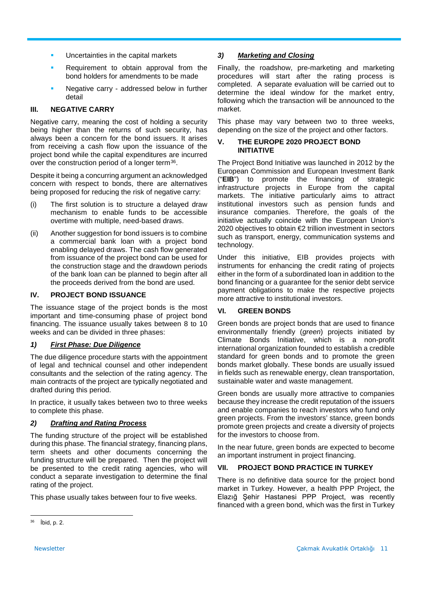- **Uncertainties in the capital markets**
- Requirement to obtain approval from the bond holders for amendments to be made
- Negative carry addressed below in further detail

## **III. NEGATIVE CARRY**

Negative carry, meaning the cost of holding a security being higher than the returns of such security, has always been a concern for the bond issuers. It arises from receiving a cash flow upon the issuance of the project bond while the capital expenditures are incurred over the construction period of a longer term<sup>[36](#page-10-0)</sup>.

Despite it being a concurring argument an acknowledged concern with respect to bonds, there are alternatives being proposed for reducing the risk of negative carry:

- (i) The first solution is to structure a delayed draw mechanism to enable funds to be accessible overtime with multiple, need-based draws.
- (ii) Another suggestion for bond issuers is to combine a commercial bank loan with a project bond enabling delayed draws. The cash flow generated from issuance of the project bond can be used for the construction stage and the drawdown periods of the bank loan can be planned to begin after all the proceeds derived from the bond are used.

## **IV. PROJECT BOND ISSUANCE**

The issuance stage of the project bonds is the most important and time-consuming phase of project bond financing. The issuance usually takes between 8 to 10 weeks and can be divided in three phases:

## *1) First Phase: Due Diligence*

The due diligence procedure starts with the appointment of legal and technical counsel and other independent consultants and the selection of the rating agency. The main contracts of the project are typically negotiated and drafted during this period.

In practice, it usually takes between two to three weeks to complete this phase.

# *2) Drafting and Rating Process*

The funding structure of the project will be established during this phase. The financial strategy, financing plans, term sheets and other documents concerning the funding structure will be prepared. Then the project will be presented to the credit rating agencies, who will conduct a separate investigation to determine the final rating of the project.

This phase usually takes between four to five weeks.

## *3) Marketing and Closing*

Finally, the roadshow, pre-marketing and marketing procedures will start after the rating process is completed. A separate evaluation will be carried out to determine the ideal window for the market entry, following which the transaction will be announced to the market.

This phase may vary between two to three weeks, depending on the size of the project and other factors.

## **V. THE EUROPE 2020 PROJECT BOND INITIATIVE**

The Project Bond Initiative was launched in 2012 by the European Commission and European Investment Bank ("**EIB**") to promote the financing of strategic infrastructure projects in Europe from the capital markets. The initiative particularly aims to attract institutional investors such as pension funds and insurance companies. Therefore, the goals of the initiative actually coincide with the European Union's 2020 objectives to obtain €2 trillion investment in sectors such as transport, energy, communication systems and technology.

Under this initiative, EIB provides projects with instruments for enhancing the credit rating of projects either in the form of a subordinated loan in addition to the bond financing or a guarantee for the senior debt service payment obligations to make the respective projects more attractive to institutional investors.

# **VI. GREEN BONDS**

Green bonds are project bonds that are used to finance environmentally friendly (*green*) projects initiated by Climate Bonds Initiative, which is a non-profit international organization founded to establish a credible standard for green bonds and to promote the green bonds market globally. These bonds are usually issued in fields such as renewable energy, clean transportation, sustainable water and waste management.

Green bonds are usually more attractive to companies because they increase the credit reputation of the issuers and enable companies to reach investors who fund only green projects. From the investors' stance, green bonds promote green projects and create a diversity of projects for the investors to choose from.

In the near future, green bonds are expected to become an important instrument in project financing.

## **VII. PROJECT BOND PRACTICE IN TURKEY**

There is no definitive data source for the project bond market in Turkey. However, a health PPP Project, the Elazığ Şehir Hastanesi PPP Project, was recently financed with a green bond, which was the first in Turkey

l

<span id="page-10-0"></span><sup>36</sup> İbid, p. 2.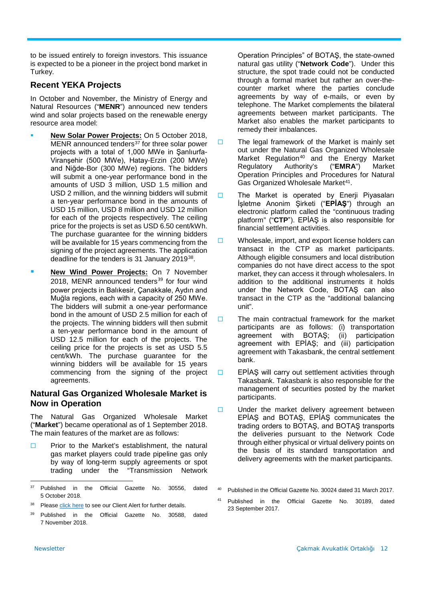to be issued entirely to foreign investors. This issuance is expected to be a pioneer in the project bond market in Turkey.

# **Recent YEKA Projects**

In October and November, the Ministry of Energy and Natural Resources ("**MENR**") announced new tenders wind and solar projects based on the renewable energy resource area model:

- **New Solar Power Projects:** On 5 October 2018, MENR announced tenders<sup>[37](#page-11-0)</sup> for three solar power projects with a total of 1,000 MWe in Şanlıurfa-Viranşehir (500 MWe), Hatay-Erzin (200 MWe) and Niğde-Bor (300 MWe) regions. The bidders will submit a one-year performance bond in the amounts of USD 3 million, USD 1.5 million and USD 2 million, and the winning bidders will submit a ten-year performance bond in the amounts of USD 15 million, USD 8 million and USD 12 million for each of the projects respectively. The ceiling price for the projects is set as USD 6.50 cent/kWh. The purchase quarantee for the winning bidders will be available for 15 years commencing from the signing of the project agreements. The application deadline for the tenders is 31 January 2019[38.](#page-11-1)
- **New Wind Power Projects:** On 7 November 2018, MENR announced tenders $39$  for four wind power projects in Balıkesir, Çanakkale, Aydın and Muğla regions, each with a capacity of 250 MWe. The bidders will submit a one-year performance bond in the amount of USD 2.5 million for each of the projects. The winning bidders will then submit a ten-year performance bond in the amount of USD 12.5 million for each of the projects. The ceiling price for the projects is set as USD 5.5 cent/kWh. The purchase guarantee for the winning bidders will be available for 15 years commencing from the signing of the project agreements.

# **Natural Gas Organized Wholesale Market is Now in Operation**

The Natural Gas Organized Wholesale Market ("**Market**") became operational as of 1 September 2018. The main features of the market are as follows:

 $\square$  Prior to the Market's establishment, the natural gas market players could trade pipeline gas only by way of long-term supply agreements or spot trading under the "Transmission Network

Operation Principles" of BOTAŞ, the state-owned natural gas utility ("**Network Code**"). Under this structure, the spot trade could not be conducted through a formal market but rather an over-thecounter market where the parties conclude agreements by way of e-mails, or even by telephone. The Market complements the bilateral agreements between market participants. The Market also enables the market participants to remedy their imbalances.

- $\Box$  The legal framework of the Market is mainly set out under the Natural Gas Organized Wholesale Market Regulation<sup>[40](#page-11-3)</sup> and the Energy Market Regulatory Authority's ("**EMRA**") Market Operation Principles and Procedures for Natural Gas Organized Wholesale Market<sup>41</sup>.
- $\Box$  The Market is operated by Enerji Piyasaları İşletme Anonim Şirketi ("**EPİAŞ**") through an electronic platform called the "continuous trading platform" ("**CTP**"). EPİAŞ is also responsible for financial settlement activities.
- $\square$  Wholesale, import, and export license holders can transact in the CTP as market participants. Although eligible consumers and local distribution companies do not have direct access to the spot market, they can access it through wholesalers. In addition to the additional instruments it holds under the Network Code, BOTAŞ can also transact in the CTP as the "additional balancing unit".
- $\Box$  The main contractual framework for the market participants are as follows: (i) transportation<br>agreement with BOTAŞ; (ii) participation agreement with BOTAŞ; agreement with EPİAŞ; and (iii) participation agreement with Takasbank, the central settlement bank.
- $\Box$  EPİAŞ will carry out settlement activities through Takasbank. Takasbank is also responsible for the management of securities posted by the market participants.
- $\Box$  Under the market delivery agreement between EPİAŞ and BOTAŞ, EPİAŞ communicates the trading orders to BOTAŞ, and BOTAŞ transports the deliveries pursuant to the Network Code through either physical or virtual delivery points on the basis of its standard transportation and delivery agreements with the market participants.

<span id="page-11-3"></span><span id="page-11-0"></span>l Published in the Official Gazette No. 30556, dated 5 October 2018.

<span id="page-11-4"></span><span id="page-11-1"></span><sup>&</sup>lt;sup>38</sup> Pleas[e click here](http://www.cakmak.av.tr/articles/Power/610081677.pdf) to see our Client Alert for further details.

<span id="page-11-2"></span><sup>39</sup> Published in the Official Gazette No. 30588, dated 7 November 2018.

<sup>40</sup> Published in the Official Gazette No. 30024 dated 31 March 2017.

<sup>41</sup> Published in the Official Gazette No. 30189, dated 23 September 2017.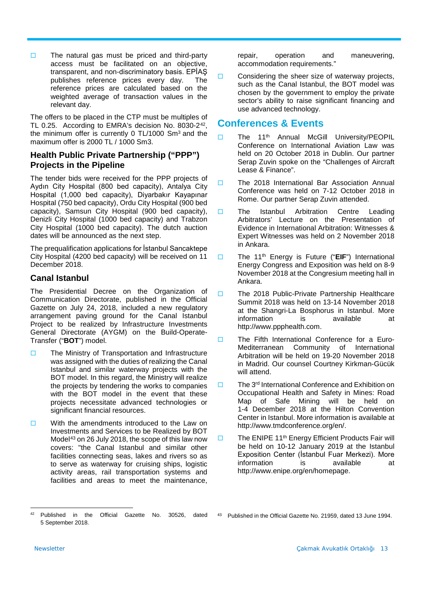$\Box$  The natural gas must be priced and third-party access must be facilitated on an objective, transparent, and non-discriminatory basis. EPİAŞ publishes reference prices every day. The reference prices are calculated based on the weighted average of transaction values in the relevant day.

The offers to be placed in the CTP must be multiples of TL 0.25. According to EMRA's decision No. 8030-2[42,](#page-12-0) the minimum offer is currently 0 TL/1000 Sm3 and the maximum offer is 2000 TL / 1000 Sm3.

# **Health Public Private Partnership ("PPP") Projects in the Pipeline**

The tender bids were received for the PPP projects of Aydın City Hospital (800 bed capacity), Antalya City Hospital (1,000 bed capacity), Diyarbakır Kayapınar Hospital (750 bed capacity), Ordu City Hospital (900 bed capacity), Samsun City Hospital (900 bed capacity), Denizli City Hospital (1000 bed capacity) and Trabzon City Hospital (1000 bed capacity). The dutch auction dates will be announced as the next step.

The prequalification applications for İstanbul Sancaktepe City Hospital (4200 bed capacity) will be received on 11 December 2018.

# **Canal Istanbul**

The Presidential Decree on the Organization of Communication Directorate, published in the Official Gazette on July 24, 2018, included a new regulatory arrangement paving ground for the Canal Istanbul Project to be realized by Infrastructure Investments General Directorate (AYGM) on the Build-Operate-Transfer ("**BOT**") model.

- $\Box$  The Ministry of Transportation and Infrastructure was assigned with the duties of realizing the Canal Istanbul and similar waterway projects with the BOT model. In this regard, the Ministry will realize the projects by tendering the works to companies with the BOT model in the event that these projects necessitate advanced technologies or significant financial resources.
- $\Box$  With the amendments introduced to the Law on Investments and Services to be Realized by BOT Model<sup>[43](#page-12-0)</sup> on 26 July 2018, the scope of this law now covers: "the Canal Istanbul and similar other facilities connecting seas, lakes and rivers so as to serve as waterway for cruising ships, logistic activity areas, rail transportation systems and facilities and areas to meet the maintenance,

repair, operation and maneuvering, accommodation requirements."

 $\Box$  Considering the sheer size of waterway projects, such as the Canal Istanbul, the BOT model was chosen by the government to employ the private sector's ability to raise significant financing and use advanced technology.

# **Conferences & Events**

- The 11<sup>th</sup> Annual McGill University/PEOPIL Conference on International Aviation Law was held on 20 October 2018 in Dublin. Our partner Serap Zuvin spoke on the "Challenges of Aircraft Lease & Finance".
- The 2018 International Bar Association Annual Conference was held on 7-12 October 2018 in Rome. Our partner Serap Zuvin attended.
- The Istanbul Arbitration Centre Leading Arbitrators' Lecture on the Presentation of Evidence in International Arbitration: Witnesses & Expert Witnesses was held on 2 November 2018 in Ankara.
- □ The 11<sup>th</sup> Energy is Future ("EIF") International Energy Congress and Exposition was held on 8-9 November 2018 at the Congresium meeting hall in Ankara.
- The 2018 Public-Private Partnership Healthcare Summit 2018 was held on 13-14 November 2018 at the Shangri-La Bosphorus in Istanbul. More information is available at http://www.ppphealth.com.
- The Fifth International Conference for a Euro-Mediterranean Community of International Arbitration will be held on 19-20 November 2018 in Madrid. Our counsel Courtney Kirkman-Gücük will attend.
- $\Box$  The 3<sup>rd</sup> International Conference and Exhibition on Occupational Health and Safety in Mines: Road Map of Safe Mining will be held on 1-4 December 2018 at the Hilton Convention Center in Istanbul. More information is available at http://www.tmdconference.org/en/.
- $\Box$  The ENIPE 11<sup>th</sup> Energy Efficient Products Fair will be held on 10-12 January 2019 at the Istanbul Exposition Center (İstanbul Fuar Merkezi). More information is available at http://www.enipe.org/en/homepage.

<span id="page-12-0"></span> $\overline{a}$ <sup>42</sup> Published in the Official Gazette No. 30526, dated 5 September 2018. 43 Published in the Official Gazette No. 21959, dated 13 June 1994.